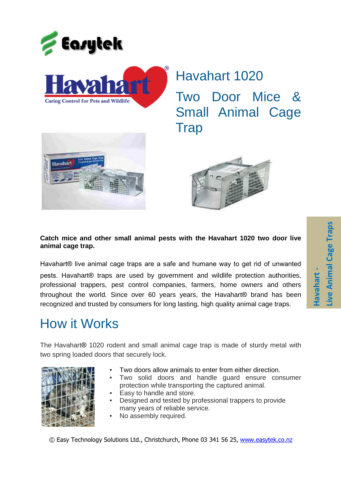

Havahart 1020 Two Door Mice & Small Animal Cage **Trap** 





## **Catch mice and other small animal pests with the Havahart 1020 two door live animal cage trap.**

Havahart® live animal cage traps are a safe and humane way to get rid of unwanted pests. Havahart® traps are used by government and wildlife protection authorities, professional trappers, pest control companies, farmers, home owners and others throughout the world. Since over 60 years years, the Havahart® brand has been recognized and trusted by consumers for long lasting, high quality animal cage traps.

## How it Works

The Havahart® 1020 rodent and small animal cage trap is made of sturdy metal with two spring loaded doors that securely lock.



- Two doors allow animals to enter from either direction.
- Two solid doors and handle guard ensure consumer protection while transporting the captured animal.
- Easy to handle and store.
- Designed and tested by professional trappers to provide many years of reliable service.
- No assembly required.

© Easy Technology Solutions Ltd., Christchurch, Phone 03 341 56 25, www.easytek.co.nz